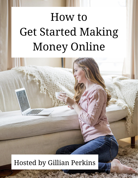# How to Get Started Making Money Online

# Hosted by Gillian Perkins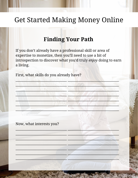#### **Finding Your Path**

If you don't already have a professional skill or area of expertise to monetize, then you'll need to use a bit of introspection to discover what you'd truly enjoy doing to earn a living.

First, what skills do you already have?

Now, what interests you?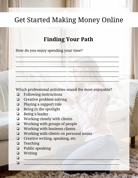#### **Finding Your Path**

 $\Box$ 

 $\blacksquare$ 

 $_{\rm H}$  , and the contract of the set of the set of the set of the set of the set of the set of the set of the set of the set of the set of the set of the set of the set of the set of the set of the set of the set of the

 $\mathcal{L} = \{ \mathcal{L} \in \mathcal{L} \}$ 

 $\mathcal{L}_\mathcal{A} = \mathcal{L}_\mathcal{A}$  , which is a set of  $\mathcal{L}_\mathcal{A}$  , and  $\mathcal{L}_\mathcal{A}$  , and  $\mathcal{L}_\mathcal{A}$  , and  $\mathcal{L}_\mathcal{A}$  , and  $\mathcal{L}_\mathcal{A}$ 

\_\_\_\_\_\_\_\_\_\_\_\_\_\_\_\_\_\_\_\_\_\_\_\_\_\_\_\_\_\_\_ \_\_\_\_\_\_\_\_\_\_\_\_\_\_\_\_\_\_\_\_\_\_\_\_\_\_\_\_\_\_\_

❏ \_\_\_\_\_\_\_\_\_\_\_\_\_\_\_\_\_\_\_\_\_\_\_\_\_\_\_\_\_\_\_\_\_\_\_\_\_\_\_\_\_\_\_\_\_\_\_\_\_\_\_\_\_\_\_\_\_\_

How do you enjoy spending your time?

Which professional activities sound the most enjoyable?

- ❏ Following instructions
- ❏ Creative problem solving
- ❏ Playing a support role
- ❏ Being in the spotlight
- ❏ Being a leader
- ❏ Working closely with clients
- ❏ Working with groups of people
- ❏ Working with business clients
- ❏ Working with clients on personal issues
- ❏ Creative writing, speaking, etc.
- ❏ Teaching
- ❏ Public speaking
- ❏ Writing
- $\Box$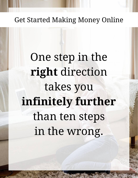One step in the **right** direction takes you **infinitely further** than ten steps in the wrong.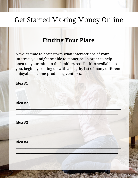#### **Finding Your Place**

Now it's time to brainstorm what intersections of your interests you might be able to monetize. In order to help open up your mind to the limitless possibilities available to you, begin by coming up with a lengthy list of many different enjoyable income-producing ventures.

| Idea #1 |  |  |
|---------|--|--|
| Idea #2 |  |  |
| Idea #3 |  |  |
| Idea #4 |  |  |
|         |  |  |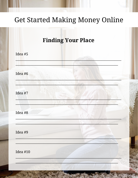|                 | <b>Finding Your Place</b> |  |
|-----------------|---------------------------|--|
| Idea #5         |                           |  |
| Idea #6         |                           |  |
| Idea #7         |                           |  |
| Idea #8         |                           |  |
| Idea #9         |                           |  |
| <b>Idea #10</b> |                           |  |
|                 |                           |  |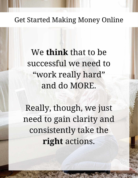We **think** that to be successful we need to "work really hard" and do MORE.

Really, though, we just need to gain clarity and consistently take the **right** actions.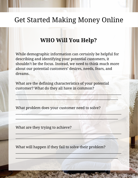#### **WHO Will You Help?**

While demographic information can certainly be helpful for describing and identifying your potential customers, it shouldn't be the focus. Instead, we need to think much more about our potential customers' desires, needs, fears, and dreams.

 $\mathcal{L} = \{ \mathcal{L}_1, \mathcal{L}_2, \ldots, \mathcal{L}_n \}$ 

\_\_\_\_\_\_\_\_\_\_\_\_\_\_\_\_\_\_\_\_\_\_\_\_\_\_\_\_\_\_\_\_\_\_\_\_\_\_\_\_\_\_\_\_\_\_\_\_\_\_\_\_\_\_\_\_\_\_\_\_\_\_\_\_

 $\mathcal{L} = \{ \mathcal{L} \in \mathcal{L} \}$  , where  $\mathcal{L} = \{ \mathcal{L} \}$  , where  $\mathcal{L} = \{ \mathcal{L} \}$ 

 $\mathcal{L} = \{ \mathcal{L}_1, \mathcal{L}_2, \ldots, \mathcal{L}_n \}$ 

 $\blacksquare$ 

 $\mathbb{Z}$  , where  $\mathbb{Z}$  is the set of  $\mathbb{Z}$  , where  $\mathbb{Z}$  is the set of  $\mathbb{Z}$ 

 $\mathcal{L}(\mathcal{A},\mathcal{B},\mathcal{B},\mathcal{B},\mathcal{B},\mathcal{B},\mathcal{B},\mathcal{B},\mathcal{B},\mathcal{B},\mathcal{B},\mathcal{B},\mathcal{B},\mathcal{B},\mathcal{B},\mathcal{B},\mathcal{B},\mathcal{B},\mathcal{B},\mathcal{B},\mathcal{B},\mathcal{B},\mathcal{B},\mathcal{B},\mathcal{B},\mathcal{B},\mathcal{B},\mathcal{B},\mathcal{B},\mathcal{B},\mathcal{B},\mathcal{B},\mathcal{B},\mathcal{B},\mathcal{B},\mathcal{$ 

 $\| \cdot \|_{\infty} = \| \cdot \|_{\infty} = \| \cdot \|_{\infty}$ 

What are the defining characteristics of your potential customer? What do they all have in common?

What problem does your customer need to solve?

What are they trying to achieve?

What will happen if they fail to solve their problem?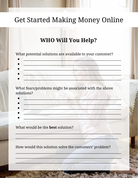#### **WHO Will You Help?**

What potential solutions are available to your customer?

What fears/problems might be associated with the above solutions?

What would be the **best** solution?

How would this solution solve the customers' problem?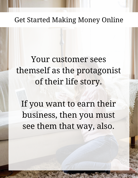# Your customer sees themself as the protagonist of their life story.

If you want to earn their business, then you must see them that way, also.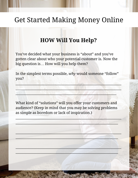#### **HOW Will You Help?**

You've decided what your business is "about" and you've gotten clear about who your potential customer is. Now the big question is… How will you help them?

In the simplest terms possible, *why* would someone "follow" you?

 $\mathbb{E}[\mathbf{z}^{\mathsf{u}}] = \mathbb{E}[\mathbf{z}^{\mathsf{u}}] = \mathbb{E}[\mathbf{z}^{\mathsf{u}}] = \mathbb{E}[\mathbf{z}^{\mathsf{u}}] = \mathbb{E}[\mathbf{z}^{\mathsf{u}}] = \mathbb{E}[\mathbf{z}^{\mathsf{u}}] = \mathbb{E}[\mathbf{z}^{\mathsf{u}}] = \mathbb{E}[\mathbf{z}^{\mathsf{u}}] = \mathbb{E}[\mathbf{z}^{\mathsf{u}}] = \mathbb{E}[\mathbf{z}^{\mathsf{u}}] = \mathbb{E}[\mathbf{$ 

 $\mathcal{L} = \{ \mathcal{L} \mid \mathcal{L} \mid \mathcal{L} \mid \mathcal{L} \mid \mathcal{L} \mid \mathcal{L} \mid \mathcal{L} \mid \mathcal{L} \mid \mathcal{L} \mid \mathcal{L} \mid \mathcal{L} \mid \mathcal{L} \mid \mathcal{L} \mid \mathcal{L} \mid \mathcal{L} \mid \mathcal{L} \mid \mathcal{L} \mid \mathcal{L} \mid \mathcal{L} \mid \mathcal{L} \mid \mathcal{L} \mid \mathcal{L} \mid \mathcal{L} \mid \mathcal{L} \mid \mathcal{L} \mid \mathcal{L} \mid \mathcal$ 

What kind of "solutions" will you offer your customers and audience? (Keep in mind that you may be solving problems as simple as boredom or lack of inspiration.)

 $\mathbb{C}$  ,  $\mathbb{C}$  ,  $\mathbb{C}$  ,  $\mathbb{C}$  ,  $\mathbb{C}$  ,  $\mathbb{C}$  ,  $\mathbb{C}$  ,  $\mathbb{C}$  ,  $\mathbb{C}$  ,  $\mathbb{C}$  ,  $\mathbb{C}$  ,  $\mathbb{C}$  ,  $\mathbb{C}$  ,  $\mathbb{C}$  ,  $\mathbb{C}$  ,  $\mathbb{C}$  ,  $\mathbb{C}$  ,  $\mathbb{C}$  ,  $\mathbb{C}$  ,  $\mathbb{C}$  ,

 $\mathcal{L} = \{ \mathcal{L} \in \mathcal{L} \}$  , where  $\mathcal{L} = \{ \mathcal{L} \}$  , where  $\mathcal{L} = \{ \mathcal{L} \}$ 

\_\_\_\_\_\_\_\_\_\_\_\_\_\_\_\_\_\_\_\_\_\_\_\_\_\_\_\_\_\_\_\_\_\_\_\_\_\_\_\_\_\_\_\_\_\_\_\_\_\_\_\_\_\_\_\_\_\_\_\_\_\_\_\_

 $\mathcal{L} = \mathcal{L} \cup \mathcal{L} = \mathcal{L} \cup \mathcal{L} = \mathcal{L} \cup \mathcal{L} = \mathcal{L} \cup \mathcal{L} = \mathcal{L} \cup \mathcal{L} = \mathcal{L} \cup \mathcal{L} = \mathcal{L} \cup \mathcal{L} = \mathcal{L} \cup \mathcal{L} = \mathcal{L} \cup \mathcal{L} = \mathcal{L} \cup \mathcal{L} = \mathcal{L} \cup \mathcal{L} = \mathcal{L} \cup \mathcal{L} = \mathcal{L} \cup \mathcal{L} = \mathcal{L} \cup \mathcal{L} = \mathcal$ 

 $\mathbb{Z}$  , and the set of the set of the set of the set of the set of the set of the set of the set of the set of the set of the set of the set of the set of the set of the set of the set of the set of the set of the set

\_\_\_\_\_\_\_\_\_\_\_\_\_\_\_\_\_\_\_\_\_\_\_\_\_\_\_\_\_\_\_\_\_\_\_\_\_\_\_\_\_\_\_\_\_\_\_\_\_\_\_\_\_\_\_\_\_\_\_\_\_\_

 $\mathcal{L} = \mathcal{L} \mathcal{L} \mathcal{L} \mathcal{L} \mathcal{L} \mathcal{L} \mathcal{L} \mathcal{L} \mathcal{L} \mathcal{L} \mathcal{L} \mathcal{L} \mathcal{L} \mathcal{L} \mathcal{L} \mathcal{L} \mathcal{L} \mathcal{L} \mathcal{L} \mathcal{L} \mathcal{L} \mathcal{L} \mathcal{L} \mathcal{L} \mathcal{L} \mathcal{L} \mathcal{L} \mathcal{L} \mathcal{L} \mathcal{L} \mathcal{L} \mathcal{L} \mathcal{L} \mathcal{L} \mathcal{L} \mathcal$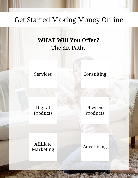#### **WHAT Will You Offer?** The Six Paths

Services

Consulting

Digital Products

Physical Products

Affiliate Marketing

Advertising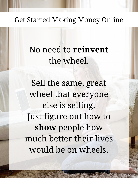No need to **reinvent**  the wheel.

Sell the same, great wheel that everyone else is selling. Just figure out how to **show** people how much better their lives would be on wheels.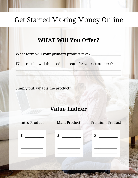#### **WHAT Will You Offer?**

What form will your primary product take?

What results will the product create for your customers?

Simply put, what is the product?

#### **Value Ladder**

| <b>Intro Product</b> | Main Product | <b>Premium Product</b> |
|----------------------|--------------|------------------------|
|                      | \$           |                        |
|                      |              |                        |
|                      |              |                        |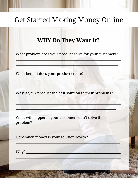#### **WHY Do They Want It?**

What problem does your product solve for your customers?

What benefit does your product create?

Why is your product the best solution to their problems?

What will happen if your customers don't solve their problem?

**AND AND AND AND A** 

How much money is your solution worth?

Why?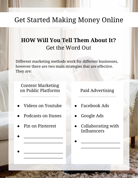#### **HOW Will You Tell Them About It?** Get the Word Out

Different marketing methods work for different businesses, however there are two main strategies that are effective. They are:

Content Marketing on Public Platforms

- Videos on Youtube
- Podcasts on Itunes

● \_\_\_\_\_\_\_\_\_\_\_\_\_\_\_\_\_\_\_\_

● \_\_\_\_\_\_\_\_\_\_\_\_\_\_\_\_\_\_\_\_

 $\overline{\phantom{a}}$  , where  $\overline{\phantom{a}}$ 

 $\overline{\phantom{a}}$  , where  $\overline{\phantom{a}}$ 

Pin on Pinterest

Paid Advertising

- **Facebook Ads**
- Google Ads
- Collaborating with Influencers

● \_\_\_\_\_\_\_\_\_\_\_\_\_\_\_\_\_\_\_\_

 $\overline{\phantom{a}}$  , where  $\overline{\phantom{a}}$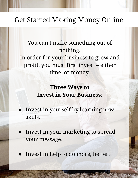#### You can't make something out of nothing. In order for your business to grow and profit, you must first invest -- either time, or money.

#### **Three Ways to Invest in Your Business:**

- Invest in yourself by learning new skills.
- Invest in your marketing to spread your message.
- Invest in help to do more, better.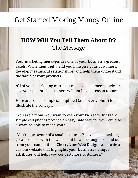#### **HOW Will You Tell Them About It?** The Message

Your marketing messages are one of your business's greatest assets. Write them right, and you'll inspire your customers, develop meaningful relationships, and help them understand the value of your products.

**All** of your marketing messages must be customer-centric, or else your potential customers will not have a reason to care.

Here are some examples, simplified (and overly blunt) to illustrate the concept:

"You are a mom. You want to keep your kids safe. KidsTalk simple cell phones provide an easy, safe way for your child to always be able to reach you."

"You're the owner of a small business. You've got something great to share with the world, but it can be tough to stand out from your competition. CherryLane Web Design can create a custom website that highlights your businesses unique attributes and helps you convert more customers."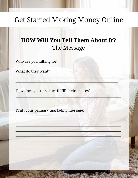#### **HOW Will You Tell Them About It?** The Message

Who are you talking to? \_\_

What do they want?

How does your product fulfill their desires?

Draft your primary marketing message: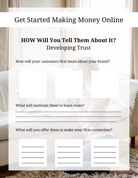#### **HOW Will You Tell Them About It?** Developing Trust

How will your customers first learn about your brand?

What will motivate them to learn more?

 $\overline{\phantom{a}}$  , where  $\overline{\phantom{a}}$ 

 $\overline{\phantom{a}}$  , where  $\overline{\phantom{a}}$ 

 $\overline{\phantom{a}}$  , where  $\overline{\phantom{a}}$ 

 $\overline{\phantom{a}}$  , where  $\overline{\phantom{a}}$ 

What will you offer them to make your first connection?

 $\blacksquare$  and the contract of the contract of the contract of the contract of the contract of the contract of the contract of the contract of the contract of the contract of the contract of the contract of the contract of th

 $\mathbb{A}^{\mathcal{N}}_{\mathcal{N}}$  and  $\mathbb{A}^{\mathcal{N}}_{\mathcal{N}}$  and  $\mathbb{A}^{\mathcal{N}}$  and  $\mathbb{A}^{\mathcal{N}}$  and  $\mathbb{A}^{\mathcal{N}}$ 

 $\overline{\phantom{a}}$  , and the set of  $\overline{\phantom{a}}$ 

 $\overline{\phantom{a}}$  , and the set of  $\overline{\phantom{a}}$ 

 $\overline{\phantom{a}}$  , and the set of  $\overline{\phantom{a}}$ 

 $\overline{\phantom{a}}$ 

 $\overline{\phantom{a}}$  , where  $\overline{\phantom{a}}$ 

 $\overline{\phantom{a}}$  , where  $\overline{\phantom{a}}$ 

 $\overline{\phantom{a}}$  , where  $\overline{\phantom{a}}$ 

 $\overline{\phantom{a}}$  , where  $\overline{\phantom{a}}$ 

 $\mathbb{E}[\mathcal{X}|\mathcal{Y}]/\mathbb{E}[\mathcal{X}|\mathcal{Y}]$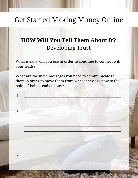#### **HOW Will You Tell Them About It? Developing Trust**

What means will you use in order to continue to connect with your leads?

What are the main messages you need to communicate to them in order to move them from where they are now to the point of being ready to buy?

 $1.$  $2.$  $\overline{3}$ . 4. 5.